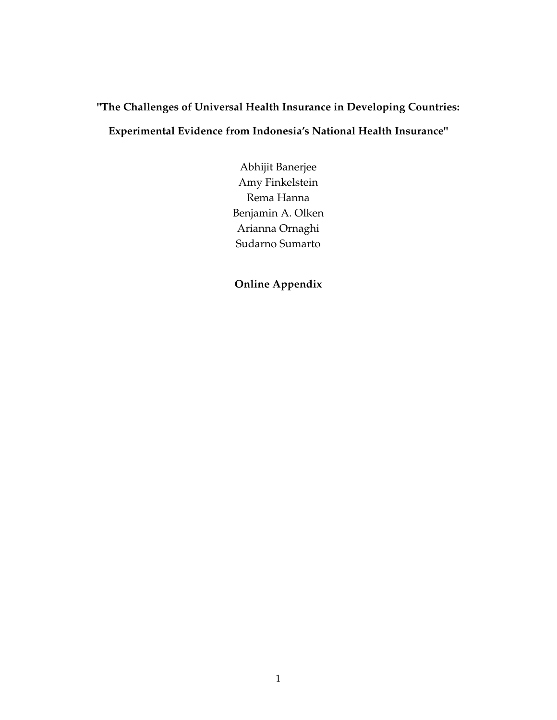# **"The Challenges of Universal Health Insurance in Developing Countries: Experimental Evidence from Indonesia's National Health Insurance"**

Abhijit Banerjee Amy Finkelstein Rema Hanna Benjamin A. Olken Arianna Ornaghi Sudarno Sumarto

**Online Appendix**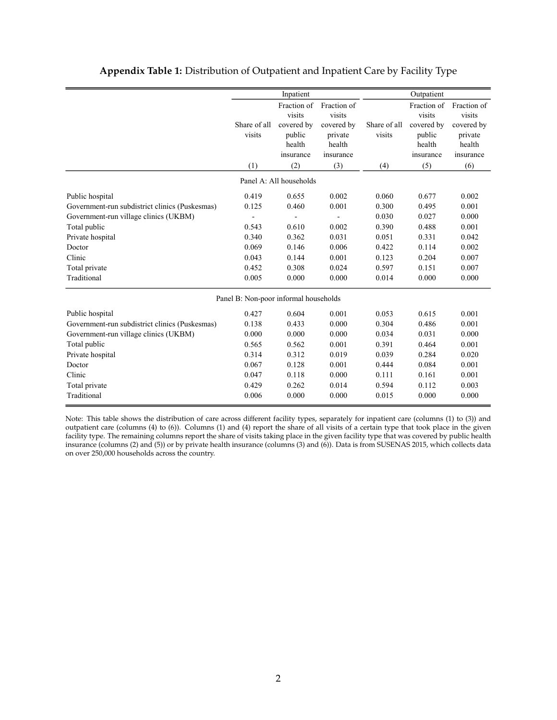|                                                |                                       | Inpatient                                                            |                                                                       |                        | Outpatient                                                           |                                                                       |
|------------------------------------------------|---------------------------------------|----------------------------------------------------------------------|-----------------------------------------------------------------------|------------------------|----------------------------------------------------------------------|-----------------------------------------------------------------------|
|                                                | Share of all<br>visits                | Fraction of<br>visits<br>covered by<br>public<br>health<br>insurance | Fraction of<br>visits<br>covered by<br>private<br>health<br>insurance | Share of all<br>visits | Fraction of<br>visits<br>covered by<br>public<br>health<br>insurance | Fraction of<br>visits<br>covered by<br>private<br>health<br>insurance |
|                                                | (1)                                   | (2)                                                                  | (3)                                                                   | (4)                    | (5)                                                                  | (6)                                                                   |
|                                                |                                       | Panel A: All households                                              |                                                                       |                        |                                                                      |                                                                       |
| Public hospital                                | 0.419                                 | 0.655                                                                | 0.002                                                                 | 0.060                  | 0.677                                                                | 0.002                                                                 |
| Government-run subdistrict clinics (Puskesmas) | 0.125                                 | 0.460                                                                | 0.001                                                                 | 0.300                  | 0.495                                                                | 0.001                                                                 |
| Government-run village clinics (UKBM)          |                                       |                                                                      |                                                                       | 0.030                  | 0.027                                                                | 0.000                                                                 |
| Total public                                   | 0.543                                 | 0.610                                                                | 0.002                                                                 | 0.390                  | 0.488                                                                | 0.001                                                                 |
| Private hospital                               | 0.340                                 | 0.362                                                                | 0.031                                                                 | 0.051                  | 0.331                                                                | 0.042                                                                 |
| Doctor                                         | 0.069                                 | 0.146                                                                | 0.006                                                                 | 0.422                  | 0.114                                                                | 0.002                                                                 |
| Clinic                                         | 0.043                                 | 0.144                                                                | 0.001                                                                 | 0.123                  | 0.204                                                                | 0.007                                                                 |
| Total private                                  | 0.452                                 | 0.308                                                                | 0.024                                                                 | 0.597                  | 0.151                                                                | 0.007                                                                 |
| Traditional                                    | 0.005                                 | 0.000                                                                | 0.000                                                                 | 0.014                  | 0.000                                                                | 0.000                                                                 |
|                                                | Panel B: Non-poor informal households |                                                                      |                                                                       |                        |                                                                      |                                                                       |
| Public hospital                                | 0.427                                 | 0.604                                                                | 0.001                                                                 | 0.053                  | 0.615                                                                | 0.001                                                                 |
| Government-run subdistrict clinics (Puskesmas) | 0.138                                 | 0.433                                                                | 0.000                                                                 | 0.304                  | 0.486                                                                | 0.001                                                                 |
| Government-run village clinics (UKBM)          | 0.000                                 | 0.000                                                                | 0.000                                                                 | 0.034                  | 0.031                                                                | 0.000                                                                 |
| Total public                                   | 0.565                                 | 0.562                                                                | 0.001                                                                 | 0.391                  | 0.464                                                                | 0.001                                                                 |
| Private hospital                               | 0.314                                 | 0.312                                                                | 0.019                                                                 | 0.039                  | 0.284                                                                | 0.020                                                                 |
| Doctor                                         | 0.067                                 | 0.128                                                                | 0.001                                                                 | 0.444                  | 0.084                                                                | 0.001                                                                 |
| Clinic                                         | 0.047                                 | 0.118                                                                | 0.000                                                                 | 0.111                  | 0.161                                                                | 0.001                                                                 |
| Total private                                  | 0.429                                 | 0.262                                                                | 0.014                                                                 | 0.594                  | 0.112                                                                | 0.003                                                                 |
| Traditional                                    | 0.006                                 | 0.000                                                                | 0.000                                                                 | 0.015                  | 0.000                                                                | 0.000                                                                 |

#### **Appendix Table 1:** Distribution of Outpatient and Inpatient Care by Facility Type

Note: This table shows the distribution of care across different facility types, separately for inpatient care (columns (1) to (3)) and outpatient care (columns (4) to (6)). Columns (1) and (4) report the share of all visits of a certain type that took place in the given facility type. The remaining columns report the share of visits taking place in the given facility type that was covered by public health insurance (columns (2) and (5)) or by private health insurance (columns (3) and (6)). Data is from SUSENAS 2015, which collects data on over 250,000 households across the country.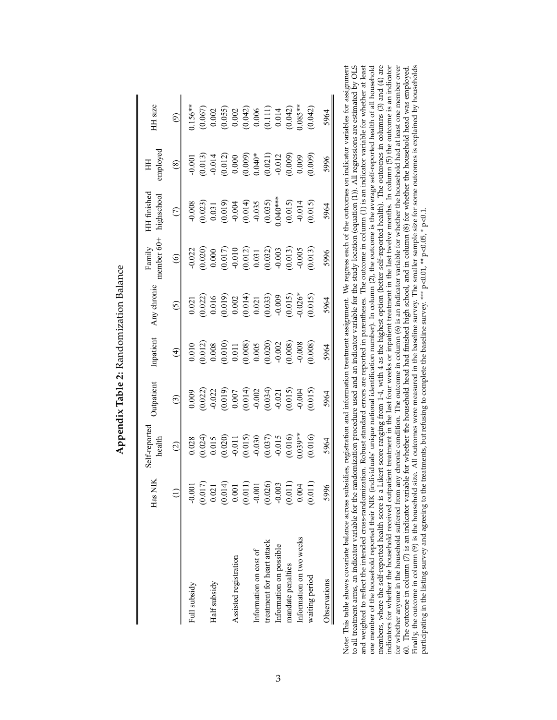|                            | $_{\text{Has}}$                                                                | -reported<br>health                                                                                                                                          | utpatient                                                                                                                                                                                                                                                                                                              | Inpatient                                                                                                                                                                                 | Any chronic                                                                                                                                                                                                                                                        | nember 60+<br>Family                                                                                                                                                   | <b>HH</b> finished<br>iighschool                                                                              | imployee                                                                                                                                                                                                                                                                                                               | HH size                                                                                                                                                            |
|----------------------------|--------------------------------------------------------------------------------|--------------------------------------------------------------------------------------------------------------------------------------------------------------|------------------------------------------------------------------------------------------------------------------------------------------------------------------------------------------------------------------------------------------------------------------------------------------------------------------------|-------------------------------------------------------------------------------------------------------------------------------------------------------------------------------------------|--------------------------------------------------------------------------------------------------------------------------------------------------------------------------------------------------------------------------------------------------------------------|------------------------------------------------------------------------------------------------------------------------------------------------------------------------|---------------------------------------------------------------------------------------------------------------|------------------------------------------------------------------------------------------------------------------------------------------------------------------------------------------------------------------------------------------------------------------------------------------------------------------------|--------------------------------------------------------------------------------------------------------------------------------------------------------------------|
|                            |                                                                                | $\widehat{\omega}$                                                                                                                                           | $\odot$                                                                                                                                                                                                                                                                                                                | $\widehat{E}$                                                                                                                                                                             | $\tilde{c}$                                                                                                                                                                                                                                                        | $\circledcirc$                                                                                                                                                         | $\widehat{C}$                                                                                                 | $\circledS$                                                                                                                                                                                                                                                                                                            | $\widehat{\mathfrak{G}}$                                                                                                                                           |
| Full subsidy               | $-0.001$                                                                       | 0.028                                                                                                                                                        | 0.009                                                                                                                                                                                                                                                                                                                  | 0.010                                                                                                                                                                                     |                                                                                                                                                                                                                                                                    |                                                                                                                                                                        |                                                                                                               | $-0.001$                                                                                                                                                                                                                                                                                                               | $0.156**$                                                                                                                                                          |
|                            |                                                                                | $\begin{array}{l} (0.024) \\ 0.015 \\ (0.020) \\ (0.011 \\ -0.011 \\ (0.015) \\ -0.030 \\ (0.037) \\ -0.015 \\ (0.016) \\ (0.016) \\ (0.016) \\ \end{array}$ |                                                                                                                                                                                                                                                                                                                        | $\begin{array}{l} (0.012) \\ 0.008 \\ 0.011 \\ 0.011 \\ 0.008 \\ 0.008 \\ 0.005 \\ 0.002 \\ 0.008 \\ 0.008 \\ 0.008 \\ 0.008 \\ 0.008 \\ 0.008 \\ 0.008 \\ 0.008 \\ 0.008 \\ \end{array}$ | $\begin{array}{l} 0.021\\ 0.022)\\ 0.016\\ 0.019)\\ 0.0002\\ 0.0014\\ 0.0014\\ 0.0033)\\ 0.0009\\ 0.0015\\ 0.015\\ 0.015\\ 0.019\\ 0.0009\\ 0.0019\\ 0.0009\\ 0.0009\\ 0.0009\\ 0.0000\\ 0.0000\\ 0.0000\\ 0.0000\\ 0.0000\\ 0.0000\\ 0.0000\\ 0.0000\\ 0.0000\\ $ | $\begin{array}{l} 0.022 \\ 0.0200 \\ 0.000 \\ 0.011 \\ 0.012 \\ 0.012 \\ 0.031 \\ 0.032 \\ 0.033 \\ 0.033 \\ 0.033 \\ 0.033 \\ 0.005 \\ 0.005 \\ 0.005 \\ \end{array}$ | $-0.008$<br>$(0.023)$<br>$(0.031)$<br>$(0.019)$<br>$-0.004$<br>$-0.035$<br>$-0.035$<br>$(0.035)$<br>$(0.036)$ |                                                                                                                                                                                                                                                                                                                        |                                                                                                                                                                    |
| Half subsidy               |                                                                                |                                                                                                                                                              |                                                                                                                                                                                                                                                                                                                        |                                                                                                                                                                                           |                                                                                                                                                                                                                                                                    |                                                                                                                                                                        |                                                                                                               |                                                                                                                                                                                                                                                                                                                        |                                                                                                                                                                    |
|                            | $\begin{array}{c} (0.017) \\ 0.021 \\ (0.014) \\ (0.014) \\ 0.001 \end{array}$ |                                                                                                                                                              | $\begin{array}{l} (0.022) \\ (0.012) \\ (0.019) \\ (0.0107) \\ (0.0107) \\ (0.014) \\ (0.014) \\ (0.014) \\ (0.015) \\ (0.015) \\ (0.016) \\ (0.017) \\ (0.019) \\ (0.019) \\ (0.019) \\ (0.019) \\ (0.019) \\ (0.019) \\ (0.019) \\ (0.019) \\ (0.019) \\ (0.019) \\ (0.019) \\ (0.019) \\ (0.019) \\ (0.019) \\ (0.$ |                                                                                                                                                                                           |                                                                                                                                                                                                                                                                    |                                                                                                                                                                        |                                                                                                               | $\begin{array}{l} (0.013) \\ (0.014) \\ (0.012) \\ (0.000) \\ (0.000) \\ (0.004) \\ (0.011) \\ (0.009) \\ (0.009) \\ (0.009) \\ (0.009) \\ (0.009) \\ (0.009) \\ (0.009) \\ (0.009) \\ (0.009) \\ (0.009) \\ (0.009) \\ (0.009) \\ (0.009) \\ (0.009) \\ (0.009) \\ (0.009) \\ (0.009) \\ (0.009) \\ (0.009) \\ (0.00$ | $\begin{array}{l} (0.067) \\ 0.002 \\ (0.055) \\ 0.002 \\ (0.042) \\ (0.041) \\ (0.111) \\ (0.014) \\ (0.042) \\ (0.043) \\ (0.042) \\ (0.035^{**} \\ \end{array}$ |
| Assisted registration      |                                                                                |                                                                                                                                                              |                                                                                                                                                                                                                                                                                                                        |                                                                                                                                                                                           |                                                                                                                                                                                                                                                                    |                                                                                                                                                                        |                                                                                                               |                                                                                                                                                                                                                                                                                                                        |                                                                                                                                                                    |
|                            | $\Xi$<br>0.0                                                                   |                                                                                                                                                              |                                                                                                                                                                                                                                                                                                                        |                                                                                                                                                                                           |                                                                                                                                                                                                                                                                    |                                                                                                                                                                        |                                                                                                               |                                                                                                                                                                                                                                                                                                                        |                                                                                                                                                                    |
| Information on cost of     | $-0.001$                                                                       |                                                                                                                                                              |                                                                                                                                                                                                                                                                                                                        |                                                                                                                                                                                           |                                                                                                                                                                                                                                                                    |                                                                                                                                                                        |                                                                                                               |                                                                                                                                                                                                                                                                                                                        |                                                                                                                                                                    |
| treatment for heart attack | (0.026)                                                                        |                                                                                                                                                              |                                                                                                                                                                                                                                                                                                                        |                                                                                                                                                                                           |                                                                                                                                                                                                                                                                    |                                                                                                                                                                        |                                                                                                               |                                                                                                                                                                                                                                                                                                                        |                                                                                                                                                                    |
| Information on possible    |                                                                                |                                                                                                                                                              |                                                                                                                                                                                                                                                                                                                        |                                                                                                                                                                                           |                                                                                                                                                                                                                                                                    |                                                                                                                                                                        |                                                                                                               |                                                                                                                                                                                                                                                                                                                        |                                                                                                                                                                    |
| mandate penalties          | (0.011)                                                                        |                                                                                                                                                              |                                                                                                                                                                                                                                                                                                                        |                                                                                                                                                                                           |                                                                                                                                                                                                                                                                    |                                                                                                                                                                        | (0.015)                                                                                                       |                                                                                                                                                                                                                                                                                                                        |                                                                                                                                                                    |
| Information on two weeks   | 0.004                                                                          |                                                                                                                                                              |                                                                                                                                                                                                                                                                                                                        |                                                                                                                                                                                           |                                                                                                                                                                                                                                                                    |                                                                                                                                                                        |                                                                                                               |                                                                                                                                                                                                                                                                                                                        |                                                                                                                                                                    |
| waiting period             | $\overline{0.0}$                                                               | (0.016)                                                                                                                                                      | (0.015)                                                                                                                                                                                                                                                                                                                | 0.008                                                                                                                                                                                     | (0.015)                                                                                                                                                                                                                                                            | (0.013)                                                                                                                                                                | (0.015)                                                                                                       | (600, 0)                                                                                                                                                                                                                                                                                                               | (0.042)                                                                                                                                                            |
| Observations               | 5996                                                                           | 5964                                                                                                                                                         | 5964                                                                                                                                                                                                                                                                                                                   | 5964                                                                                                                                                                                      | 5964                                                                                                                                                                                                                                                               | 5996                                                                                                                                                                   | 5964                                                                                                          | 5996                                                                                                                                                                                                                                                                                                                   | 5964                                                                                                                                                               |

Appendix Table 2: Randomization Balance **Appendix Table 2:** Randomization Balance Note: This table shows covariate balance across subsidies, registration and information teatment assignment We regress each of the outcomes on indicator variables for assignment hould weighted to reads, the interded ratio Note: This table shows covariate balance across subsidies, registration and information treatment assignment. We regress each of the outcomes on indicator variables for assignment to all treatment arms, an indicator variable for the randomization procedure used and an indicator variable for the study location (equation (1)). All regressions are estimated by OLS and weighted to reflect the intended cross-randomization. Robust standard errors are reported in parentheses. The outcome in column (1) is an indicator variable for whether at least one member of the household reported their NIK (individuals' unique national identification number). In column (2), the outcome is the average self-reported health of all household members, where the self-reported health score is a Likert score ranging from 1-4, with 4 as the highest option (better self-reported health). The outcomes in columns (3) and (4) are indicators for whether the household received outpatient treatment in the last four weeks or inpatient treatment in the last twelve months. In column (5) the outcome is an indicator for whether anyone in the household suffered from any chronic condition. The outcome in column (6) is an indicator variable for whether the household had at least one member over 60. The outcome in column (7) is an indicator variable for whether the household head had finished high school, and in column (8) for whether the household head was employed. Finally, the outcome in column (9) is the household size. All outcomes were measured in the baseline survey. The smaller sample size for some outcomes is explained by households participating in the listing survey and agreeing to the treatments, but refusing to complete the baseline survey. \*\*\* p<0.01, \*\* p<0.05, \* p<0.1.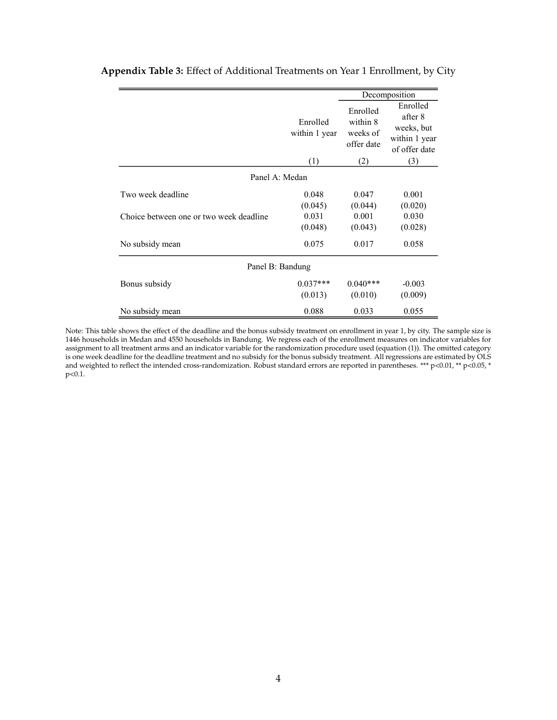|                                         |                           |                                                | Decomposition                                                       |
|-----------------------------------------|---------------------------|------------------------------------------------|---------------------------------------------------------------------|
|                                         | Enrolled<br>within 1 year | Enrolled<br>within 8<br>weeks of<br>offer date | Enrolled<br>after 8<br>weeks, but<br>within 1 year<br>of offer date |
|                                         | (1)                       | (2)                                            | (3)                                                                 |
| Panel A: Medan                          |                           |                                                |                                                                     |
| Two week deadline                       | 0.048                     | 0.047                                          | 0.001                                                               |
|                                         | (0.045)                   | (0.044)                                        | (0.020)                                                             |
| Choice between one or two week deadline | 0.031                     | 0.001                                          | 0.030                                                               |
|                                         | (0.048)                   | (0.043)                                        | (0.028)                                                             |
| No subsidy mean                         | 0.075                     | 0.017                                          | 0.058                                                               |
| Panel B: Bandung                        |                           |                                                |                                                                     |
| Bonus subsidy                           | $0.037***$                | $0.040***$                                     | $-0.003$                                                            |
|                                         | (0.013)                   | (0.010)                                        | (0.009)                                                             |
| No subsidy mean                         | 0.088                     | 0.033                                          | 0.055                                                               |

### **Appendix Table 3:** Effect of Additional Treatments on Year 1 Enrollment, by City

Note: This table shows the effect of the deadline and the bonus subsidy treatment on enrollment in year 1, by city. The sample size is 1446 households in Medan and 4550 households in Bandung. We regress each of the enrollment measures on indicator variables for assignment to all treatment arms and an indicator variable for the randomization procedure used (equation (1)). The omitted category is one week deadline for the deadline treatment and no subsidy for the bonus subsidy treatment. All regressions are estimated by OLS and weighted to reflect the intended cross-randomization. Robust standard errors are reported in parentheses. \*\*\* p<0.01, \*\* p<0.05, \* p<0.1.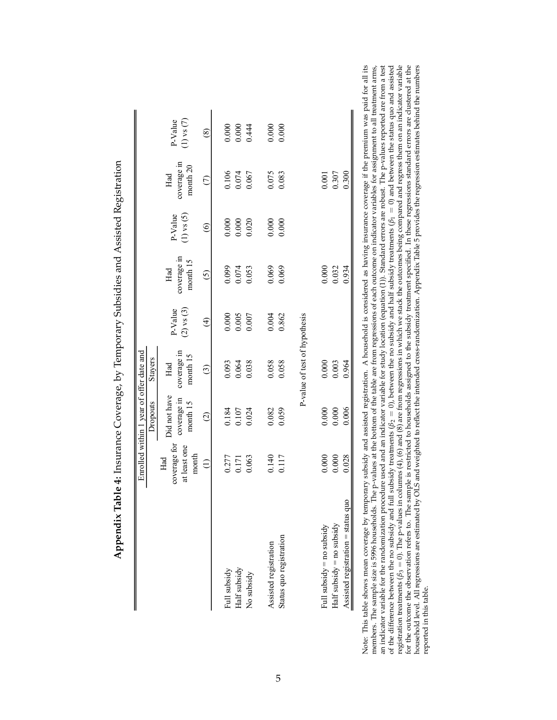|                                    |                                              | Enrolled within 1 year of offer date and |                                |                           |                                |                           |                                  |                           |
|------------------------------------|----------------------------------------------|------------------------------------------|--------------------------------|---------------------------|--------------------------------|---------------------------|----------------------------------|---------------------------|
|                                    |                                              | Dropouts                                 | Stayers                        |                           |                                |                           |                                  |                           |
|                                    | coverage for<br>at least one<br>month<br>Had | Did not have<br>coverage in<br>month 15  | coverage in<br>month 15<br>Had | $(2)$ vs $(3)$<br>P-Value | coverage in<br>month 15<br>Had | $(1)$ vs $(5)$<br>P-Value | coverage in<br>month $20$<br>Had | $(1)$ vs $(7)$<br>P-Value |
|                                    | $\widehat{\Xi}$                              | $\odot$                                  | $\odot$                        | $\bigoplus$               | $\odot$                        | $\odot$                   | $\widehat{\subset}$              | $^{\circledR}$            |
| Full subsidy                       | 0.277                                        | 0.184                                    | 0.093                          | 0.000                     | 0.099                          | 0.000                     | 0.106                            | $0.000$                   |
| Half subsidy                       | 0.171                                        | 0.107                                    | 0.064                          | 0.005                     | 0.074                          | 0.000                     | 0.074                            | 0.000                     |
| No subsidy                         | 0.063                                        | 0.024                                    | 0.038                          | 0.007                     | 0.053                          | 0.020                     | 0.067                            | 0.444                     |
| Assisted registration              | 0.140                                        | 0.082                                    | 0.058                          | 0.004                     | 0.069                          | $0.000$                   | 0.075                            | 0.000                     |
| Status quo registration            | 0.117                                        | 0.059                                    | 0.058                          | 0.862                     | 0.069                          | 0.000                     | 0.083                            | 0.000                     |
|                                    |                                              |                                          | P-value of test of hypothesis  |                           |                                |                           |                                  |                           |
| Full subsidy = no subsidy          | 0.000                                        | 0.000                                    | $0.000$                        |                           | 0.000                          |                           | 0.001                            |                           |
| Half subsidy $=$ no subsidy        | 0.000                                        | 0.000                                    | 0.003                          |                           | 0.032                          |                           | 0.307                            |                           |
| Assisted registration = status quo | 0.028                                        | 0.006                                    | 0.964                          |                           | 0.934                          |                           | 0.300                            |                           |

**Appendix Table 4:** Insurance Coverage, by Temporary Subsidies and Assisted Registration È J,  $\ddot{\phantom{0}}$ <u>े</u> l,  $\ddot{\phantom{0}}$  $\ddot{\phantom{0}}$ .<br>;;  $\frac{1}{2}$ Ę ł.  $\mathcal{C}$  $\blacksquare$  $\ddot{\phantom{0}}$ Į Ė  $\frac{1}{2}$  $\ddot{\phantom{0}}$ 

all its an indicator variable for the randomization procedure used and an indicator variable for study location (equation (1)). Standard erros are robust. The p-values reported are from a test of the difference between the no sub : arms, Note: This table shows mean coverage by temporary subsidy and assisted registration. A household is considered as having insurance coverage if the premium was paid for all its members. The sample size is 5996 households. household level. All regressions are estimated by OLS and weighted to reflect the intended cross-randomization. Appendix Table 5 provides the regression estimates behind the numbers reported in this table. reported in this table. Note: Thi members.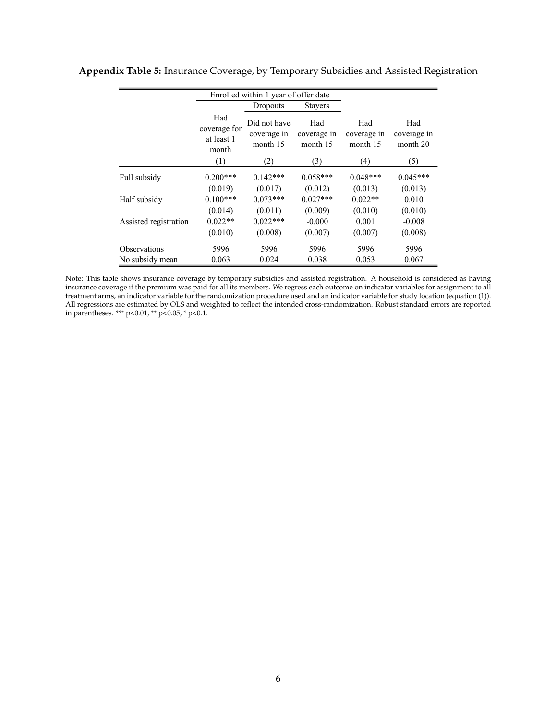|                       |                                            | Enrolled within 1 year of offer date    |                                |                                |                                |
|-----------------------|--------------------------------------------|-----------------------------------------|--------------------------------|--------------------------------|--------------------------------|
|                       |                                            | Dropouts                                | <b>Stayers</b>                 |                                |                                |
|                       | Had<br>coverage for<br>at least 1<br>month | Did not have<br>coverage in<br>month 15 | Had<br>coverage in<br>month 15 | Had<br>coverage in<br>month 15 | Had<br>coverage in<br>month 20 |
|                       | (1)                                        | (2)                                     | (3)                            | (4)                            | (5)                            |
| Full subsidy          | $0.200***$                                 | $0.142***$                              | $0.058***$                     | $0.048***$                     | $0.045***$                     |
|                       | (0.019)                                    | (0.017)                                 | (0.012)                        | (0.013)                        | (0.013)                        |
| Half subsidy          | $0.100***$                                 | $0.073***$                              | $0.027***$                     | $0.022**$                      | 0.010                          |
|                       | (0.014)                                    | (0.011)                                 | (0.009)                        | (0.010)                        | (0.010)                        |
| Assisted registration | $0.022**$                                  | $0.022***$                              | $-0.000$                       | 0.001                          | $-0.008$                       |
|                       | (0.010)                                    | (0.008)                                 | (0.007)                        | (0.007)                        | (0.008)                        |
| <b>Observations</b>   | 5996                                       | 5996                                    | 5996                           | 5996                           | 5996                           |
| No subsidy mean       | 0.063                                      | 0.024                                   | 0.038                          | 0.053                          | 0.067                          |

# **Appendix Table 5:** Insurance Coverage, by Temporary Subsidies and Assisted Registration

Note: This table shows insurance coverage by temporary subsidies and assisted registration. A household is considered as having insurance coverage if the premium was paid for all its members. We regress each outcome on indicator variables for assignment to all treatment arms, an indicator variable for the randomization procedure used and an indicator variable for study location (equation (1)). All regressions are estimated by OLS and weighted to reflect the intended cross-randomization. Robust standard errors are reported in parentheses. \*\*\* p<0.01, \*\* p<0.05, \* p<0.1.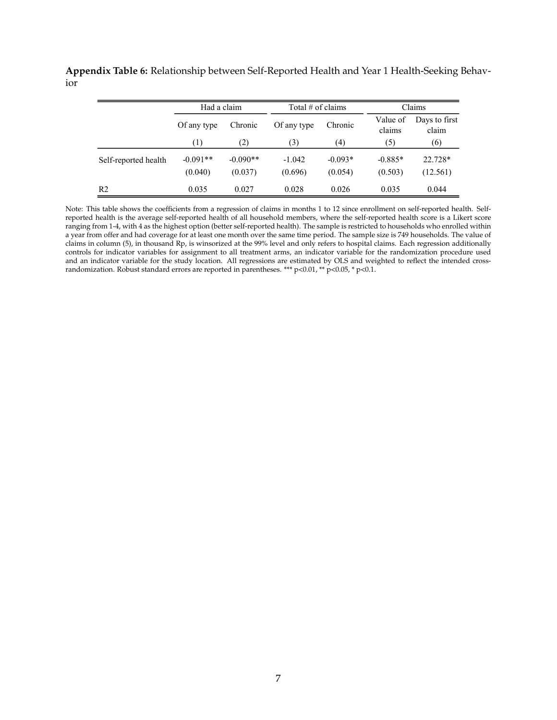**Appendix Table 6:** Relationship between Self-Reported Health and Year 1 Health-Seeking Behavior

|                      | Had a claim           |                       | Total $#$ of claims |                      |                      | Claims                 |
|----------------------|-----------------------|-----------------------|---------------------|----------------------|----------------------|------------------------|
|                      | Of any type           | Chronic               | Of any type         | Chronic              | Value of<br>claims   | Days to first<br>claim |
|                      | (1)                   | (2)                   | (3)                 | (4)                  | (5)                  | (6)                    |
| Self-reported health | $-0.091**$<br>(0.040) | $-0.090**$<br>(0.037) | $-1.042$<br>(0.696) | $-0.093*$<br>(0.054) | $-0.885*$<br>(0.503) | 22.728*<br>(12.561)    |
| R <sub>2</sub>       | 0.035                 | 0.027                 | 0.028               | 0.026                | 0.035                | 0.044                  |

Note: This table shows the coefficients from a regression of claims in months 1 to 12 since enrollment on self-reported health. Selfreported health is the average self-reported health of all household members, where the self-reported health score is a Likert score ranging from 1-4, with 4 as the highest option (better self-reported health). The sample is restricted to households who enrolled within a year from offer and had coverage for at least one month over the same time period. The sample size is 749 households. The value of claims in column (5), in thousand Rp, is winsorized at the 99% level and only refers to hospital claims. Each regression additionally controls for indicator variables for assignment to all treatment arms, an indicator variable for the randomization procedure used and an indicator variable for the study location. All regressions are estimated by OLS and weighted to reflect the intended crossrandomization. Robust standard errors are reported in parentheses. \*\*\* p<0.01, \*\* p<0.05, \* p<0.1.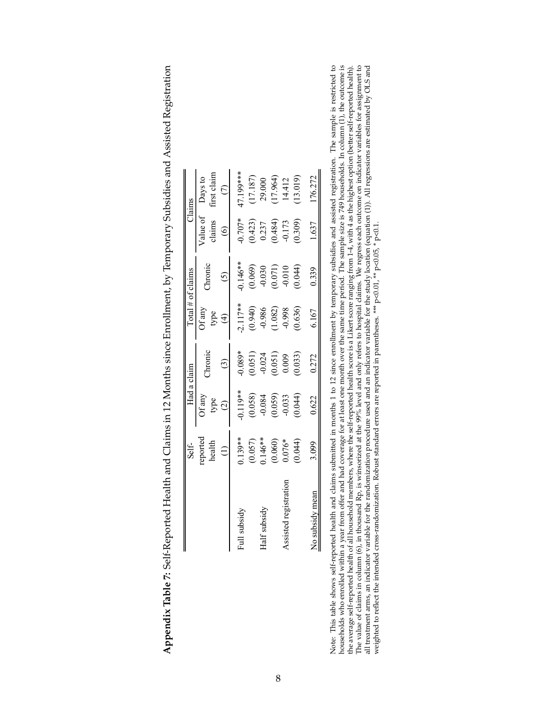|                       | Self-                                                       |                                                               | Had a claim                                   |                                                               | $\lceil$ otal # of claims                                                  |                                               | Claims                                           |
|-----------------------|-------------------------------------------------------------|---------------------------------------------------------------|-----------------------------------------------|---------------------------------------------------------------|----------------------------------------------------------------------------|-----------------------------------------------|--------------------------------------------------|
|                       | reported<br>health                                          | Of any<br>type                                                | hronic                                        | $\Im$ f any<br>type                                           | <b>hronic</b>                                                              | /alue of<br>claims                            | irst claim<br>Days to                            |
|                       |                                                             | $\bigcirc$                                                    |                                               | $\widehat{f}$                                                 |                                                                            | $\circledcirc$                                |                                                  |
| Full subsidy          |                                                             |                                                               | $0.089*$                                      |                                                               |                                                                            | $-0.707*$                                     | 17.199***                                        |
|                       |                                                             |                                                               |                                               |                                                               |                                                                            |                                               |                                                  |
| Half subsidy          |                                                             |                                                               |                                               |                                                               |                                                                            |                                               |                                                  |
|                       | $0.139**$<br>$(0.057)$<br>$146**$<br>$(0.060)$<br>$(0.060)$ |                                                               | $(0.051)$<br>$-0.024$<br>$(0.051)$<br>$0.009$ | $-2.117**$<br>$(0.940)$<br>$-0.986$<br>$(1.082)$<br>$(1.082)$ |                                                                            | $(0.423)$<br>$0.237$<br>$(0.484)$<br>$-0.173$ | $(17.187)$<br>29.000<br>$(17.964)$<br>$(17.964)$ |
| Assisted registration |                                                             |                                                               |                                               |                                                               |                                                                            |                                               |                                                  |
|                       | (0.044)                                                     | $^{*}$<br>(0.058)<br>(0.058)<br>(0.059)<br>(0.044)<br>(0.044) | 0.033)                                        | (0.636)                                                       | $0.146**$<br>$(0.069)$<br>$(0.030)$<br>$(0.071)$<br>$(0.010)$<br>$(0.044)$ | (0.309)                                       | (13.019)                                         |
| No subsidy mean       | 3.099                                                       | 0.622                                                         | 0.272                                         | 6.167                                                         | 0.339                                                                      | 1.637                                         | 176.272                                          |

| I                                    |
|--------------------------------------|
|                                      |
|                                      |
|                                      |
|                                      |
|                                      |
|                                      |
| うちょう とうしょう かんこう                      |
|                                      |
| i                                    |
|                                      |
|                                      |
|                                      |
|                                      |
|                                      |
|                                      |
|                                      |
|                                      |
|                                      |
|                                      |
|                                      |
|                                      |
|                                      |
|                                      |
|                                      |
|                                      |
|                                      |
| I                                    |
| í                                    |
| <br> <br>                            |
|                                      |
|                                      |
|                                      |
|                                      |
|                                      |
|                                      |
|                                      |
|                                      |
|                                      |
|                                      |
|                                      |
|                                      |
|                                      |
|                                      |
|                                      |
|                                      |
|                                      |
|                                      |
|                                      |
|                                      |
|                                      |
|                                      |
|                                      |
|                                      |
|                                      |
|                                      |
|                                      |
|                                      |
|                                      |
|                                      |
| j                                    |
|                                      |
|                                      |
| j                                    |
|                                      |
| .<br>،                               |
|                                      |
|                                      |
|                                      |
|                                      |
|                                      |
|                                      |
| $\frac{1}{2}$<br>l                   |
|                                      |
|                                      |
|                                      |
|                                      |
| 1                                    |
|                                      |
|                                      |
|                                      |
|                                      |
|                                      |
| $-20.00001 + 0.00001$<br>.<br>}<br>} |
|                                      |
| ~ C د1د <del>D</del><br>.<br>'       |
|                                      |
|                                      |
|                                      |
|                                      |
|                                      |
| ,<br>;<br>;                          |
| $\overline{a}$                       |
|                                      |
|                                      |
|                                      |
| ı                                    |
| l                                    |

Note: This table shows self-reported health and clains submitted in months 1 to 12 since enrollment by temporary subsidies and assisted registration. The sample is restricted to households who enrolled within a year from Note: This table shows self-reported health and claims submitted in months 1 to 12 since enrollment by temporary subsidies and assisted registration. The sample is restricted to households who enrolled within a year from o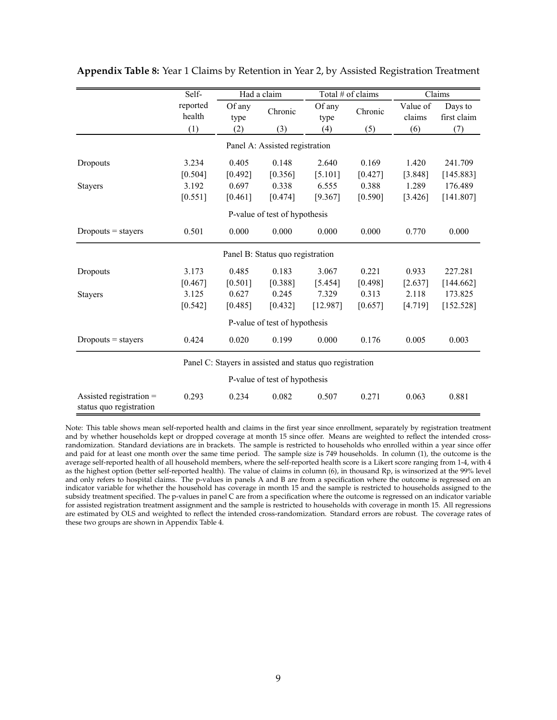|                                                      | Self-              |                | Had a claim                      |                                                          | Total # of claims |                    | Claims                 |
|------------------------------------------------------|--------------------|----------------|----------------------------------|----------------------------------------------------------|-------------------|--------------------|------------------------|
|                                                      | reported<br>health | Of any<br>type | Chronic                          | Of any<br>type                                           | Chronic           | Value of<br>claims | Days to<br>first claim |
|                                                      | (1)                | (2)            | (3)                              | (4)                                                      | (5)               | (6)                | (7)                    |
|                                                      |                    |                | Panel A: Assisted registration   |                                                          |                   |                    |                        |
| Dropouts                                             | 3.234              | 0.405          | 0.148                            | 2.640                                                    | 0.169             | 1.420              | 241.709                |
|                                                      | [0.504]            | [0.492]        | [0.356]                          | [5.101]                                                  | [0.427]           | [3.848]            | [145.883]              |
| <b>Stayers</b>                                       | 3.192              | 0.697          | 0.338                            | 6.555                                                    | 0.388             | 1.289              | 176.489                |
|                                                      | [0.551]            | [0.461]        | [0.474]                          | [9.367]                                                  | [0.590]           | [3.426]            | [141.807]              |
|                                                      |                    |                | P-value of test of hypothesis    |                                                          |                   |                    |                        |
| $Dropouts = stays$                                   | 0.501              | 0.000          | 0.000                            | 0.000                                                    | 0.000             | 0.770              | 0.000                  |
|                                                      |                    |                | Panel B: Status quo registration |                                                          |                   |                    |                        |
| Dropouts                                             | 3.173              | 0.485          | 0.183                            | 3.067                                                    | 0.221             | 0.933              | 227.281                |
|                                                      | [0.467]            | [0.501]        | [0.388]                          | [5.454]                                                  | [0.498]           | [2.637]            | [144.662]              |
| <b>Stayers</b>                                       | 3.125              | 0.627          | 0.245                            | 7.329                                                    | 0.313             | 2.118              | 173.825                |
|                                                      | [0.542]            | [0.485]        | [0.432]                          | [12.987]                                                 | [0.657]           | [4.719]            | [152.528]              |
|                                                      |                    |                | P-value of test of hypothesis    |                                                          |                   |                    |                        |
| $Dropouts = stays$                                   | 0.424              | 0.020          | 0.199                            | 0.000                                                    | 0.176             | 0.005              | 0.003                  |
|                                                      |                    |                |                                  | Panel C: Stayers in assisted and status quo registration |                   |                    |                        |
|                                                      |                    |                | P-value of test of hypothesis    |                                                          |                   |                    |                        |
| Assisted registration $=$<br>status quo registration | 0.293              | 0.234          | 0.082                            | 0.507                                                    | 0.271             | 0.063              | 0.881                  |

**Appendix Table 8:** Year 1 Claims by Retention in Year 2, by Assisted Registration Treatment

Note: This table shows mean self-reported health and claims in the first year since enrollment, separately by registration treatment and by whether households kept or dropped coverage at month 15 since offer. Means are weighted to reflect the intended crossrandomization. Standard deviations are in brackets. The sample is restricted to households who enrolled within a year since offer and paid for at least one month over the same time period. The sample size is 749 households. In column (1), the outcome is the average self-reported health of all household members, where the self-reported health score is a Likert score ranging from 1-4, with 4 as the highest option (better self-reported health). The value of claims in column (6), in thousand Rp, is winsorized at the 99% level and only refers to hospital claims. The p-values in panels A and B are from a specification where the outcome is regressed on an indicator variable for whether the household has coverage in month 15 and the sample is restricted to households assigned to the subsidy treatment specified. The p-values in panel C are from a specification where the outcome is regressed on an indicator variable for assisted registration treatment assignment and the sample is restricted to households with coverage in month 15. All regressions are estimated by OLS and weighted to reflect the intended cross-randomization. Standard errors are robust. The coverage rates of these two groups are shown in Appendix Table 4.